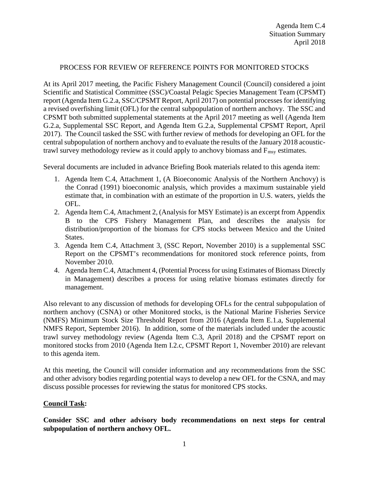## PROCESS FOR REVIEW OF REFERENCE POINTS FOR MONITORED STOCKS

At its April 2017 meeting, the Pacific Fishery Management Council (Council) considered a joint Scientific and Statistical Committee (SSC)/Coastal Pelagic Species Management Team (CPSMT) report (Agenda Item G.2.a, SSC/CPSMT Report, April 2017) on potential processes for identifying a revised overfishing limit (OFL) for the central subpopulation of northern anchovy. The SSC and CPSMT both submitted supplemental statements at the April 2017 meeting as well (Agenda Item G.2.a, Supplemental SSC Report, and Agenda Item G.2.a, Supplemental CPSMT Report, April 2017). The Council tasked the SSC with further review of methods for developing an OFL for the central subpopulation of northern anchovy and to evaluate the results of the January 2018 acoustictrawl survey methodology review as it could apply to anchovy biomass and  $F_{\text{msy}}$  estimates.

Several documents are included in advance Briefing Book materials related to this agenda item:

- 1. Agenda Item C.4, Attachment 1, (A Bioeconomic Analysis of the Northern Anchovy) is the Conrad (1991) bioeconomic analysis, which provides a maximum sustainable yield estimate that, in combination with an estimate of the proportion in U.S. waters, yields the OFL.
- 2. Agenda Item C.4, Attachment 2, (Analysis for MSY Estimate) is an excerpt from Appendix B to the CPS Fishery Management Plan, and describes the analysis for distribution/proportion of the biomass for CPS stocks between Mexico and the United States.
- 3. Agenda Item C.4, Attachment 3, (SSC Report, November 2010) is a supplemental SSC Report on the CPSMT's recommendations for monitored stock reference points, from November 2010.
- 4. Agenda Item C.4, Attachment 4, (Potential Process for using Estimates of Biomass Directly in Management) describes a process for using relative biomass estimates directly for management.

Also relevant to any discussion of methods for developing OFLs for the central subpopulation of northern anchovy (CSNA) or other Monitored stocks, is the National Marine Fisheries Service (NMFS) Minimum Stock Size Threshold Report from 2016 (Agenda Item E.1.a, Supplemental NMFS Report, September 2016). In addition, some of the materials included under the acoustic trawl survey methodology review (Agenda Item C.3, April 2018) and the CPSMT report on monitored stocks from 2010 (Agenda Item I.2.c, CPSMT Report 1, November 2010) are relevant to this agenda item.

At this meeting, the Council will consider information and any recommendations from the SSC and other advisory bodies regarding potential ways to develop a new OFL for the CSNA, and may discuss possible processes for reviewing the status for monitored CPS stocks.

## **Council Task:**

**Consider SSC and other advisory body recommendations on next steps for central subpopulation of northern anchovy OFL.**